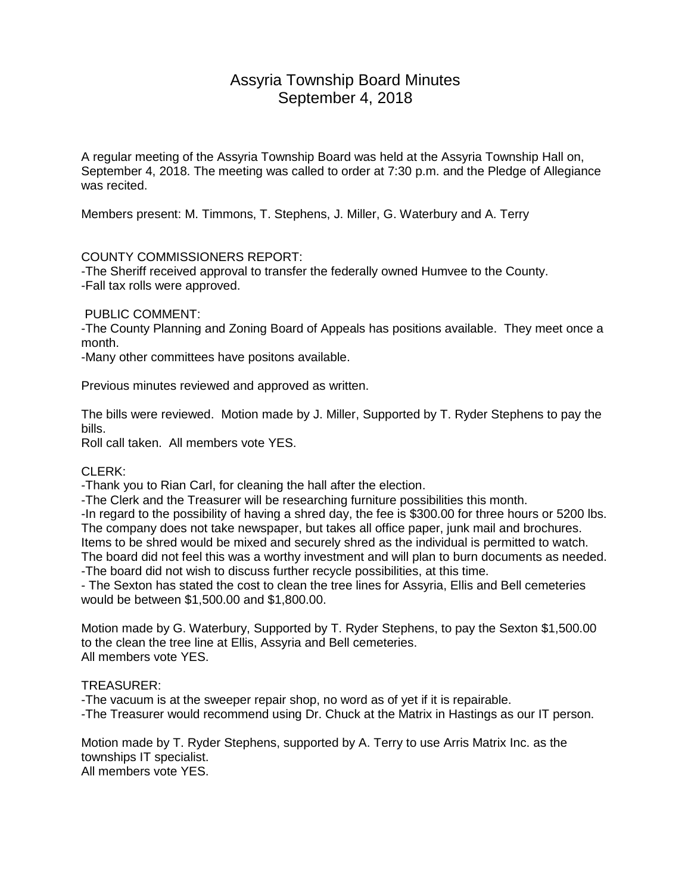# Assyria Township Board Minutes September 4, 2018

A regular meeting of the Assyria Township Board was held at the Assyria Township Hall on, September 4, 2018. The meeting was called to order at 7:30 p.m. and the Pledge of Allegiance was recited.

Members present: M. Timmons, T. Stephens, J. Miller, G. Waterbury and A. Terry

## COUNTY COMMISSIONERS REPORT:

-The Sheriff received approval to transfer the federally owned Humvee to the County. -Fall tax rolls were approved.

## PUBLIC COMMENT:

-The County Planning and Zoning Board of Appeals has positions available. They meet once a month.

-Many other committees have positons available.

Previous minutes reviewed and approved as written.

The bills were reviewed. Motion made by J. Miller, Supported by T. Ryder Stephens to pay the bills.

Roll call taken. All members vote YES.

## CLERK:

-Thank you to Rian Carl, for cleaning the hall after the election.

-The Clerk and the Treasurer will be researching furniture possibilities this month.

-In regard to the possibility of having a shred day, the fee is \$300.00 for three hours or 5200 lbs. The company does not take newspaper, but takes all office paper, junk mail and brochures.

Items to be shred would be mixed and securely shred as the individual is permitted to watch.

The board did not feel this was a worthy investment and will plan to burn documents as needed. -The board did not wish to discuss further recycle possibilities, at this time.

- The Sexton has stated the cost to clean the tree lines for Assyria, Ellis and Bell cemeteries would be between \$1,500.00 and \$1,800.00.

Motion made by G. Waterbury, Supported by T. Ryder Stephens, to pay the Sexton \$1,500.00 to the clean the tree line at Ellis, Assyria and Bell cemeteries. All members vote YES.

#### TREASURER:

-The vacuum is at the sweeper repair shop, no word as of yet if it is repairable. -The Treasurer would recommend using Dr. Chuck at the Matrix in Hastings as our IT person.

Motion made by T. Ryder Stephens, supported by A. Terry to use Arris Matrix Inc. as the townships IT specialist. All members vote YES.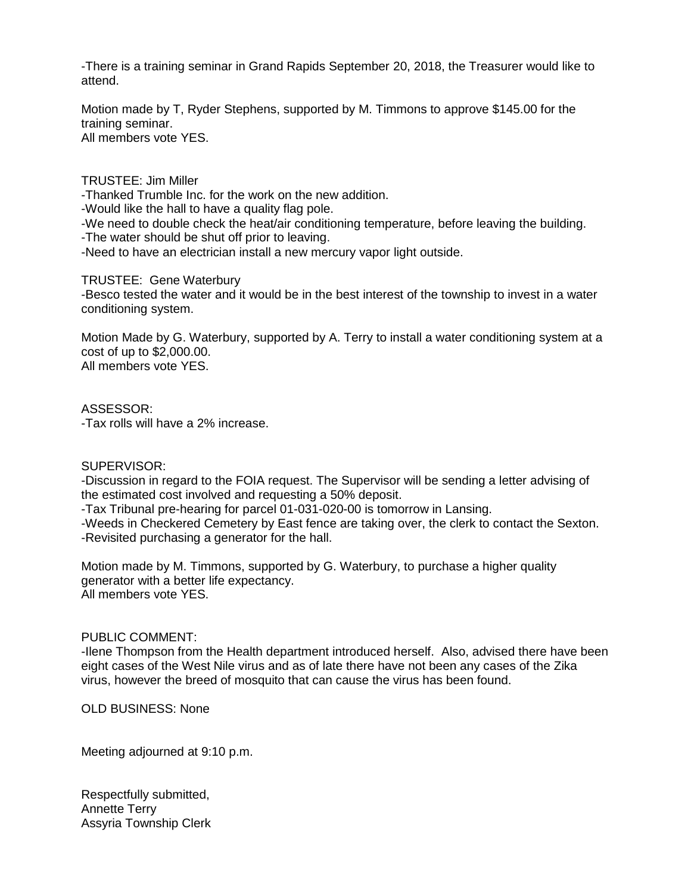-There is a training seminar in Grand Rapids September 20, 2018, the Treasurer would like to attend.

Motion made by T, Ryder Stephens, supported by M. Timmons to approve \$145.00 for the training seminar. All members vote YES.

TRUSTEE: Jim Miller

-Thanked Trumble Inc. for the work on the new addition.

-Would like the hall to have a quality flag pole.

-We need to double check the heat/air conditioning temperature, before leaving the building. -The water should be shut off prior to leaving.

-Need to have an electrician install a new mercury vapor light outside.

TRUSTEE: Gene Waterbury

-Besco tested the water and it would be in the best interest of the township to invest in a water conditioning system.

Motion Made by G. Waterbury, supported by A. Terry to install a water conditioning system at a cost of up to \$2,000.00. All members vote YES.

#### ASSESSOR:

-Tax rolls will have a 2% increase.

#### SUPERVISOR:

-Discussion in regard to the FOIA request. The Supervisor will be sending a letter advising of the estimated cost involved and requesting a 50% deposit.

-Tax Tribunal pre-hearing for parcel 01-031-020-00 is tomorrow in Lansing.

-Weeds in Checkered Cemetery by East fence are taking over, the clerk to contact the Sexton. -Revisited purchasing a generator for the hall.

Motion made by M. Timmons, supported by G. Waterbury, to purchase a higher quality generator with a better life expectancy. All members vote YES.

#### PUBLIC COMMENT:

-Ilene Thompson from the Health department introduced herself. Also, advised there have been eight cases of the West Nile virus and as of late there have not been any cases of the Zika virus, however the breed of mosquito that can cause the virus has been found.

OLD BUSINESS: None

Meeting adjourned at 9:10 p.m.

Respectfully submitted, Annette Terry Assyria Township Clerk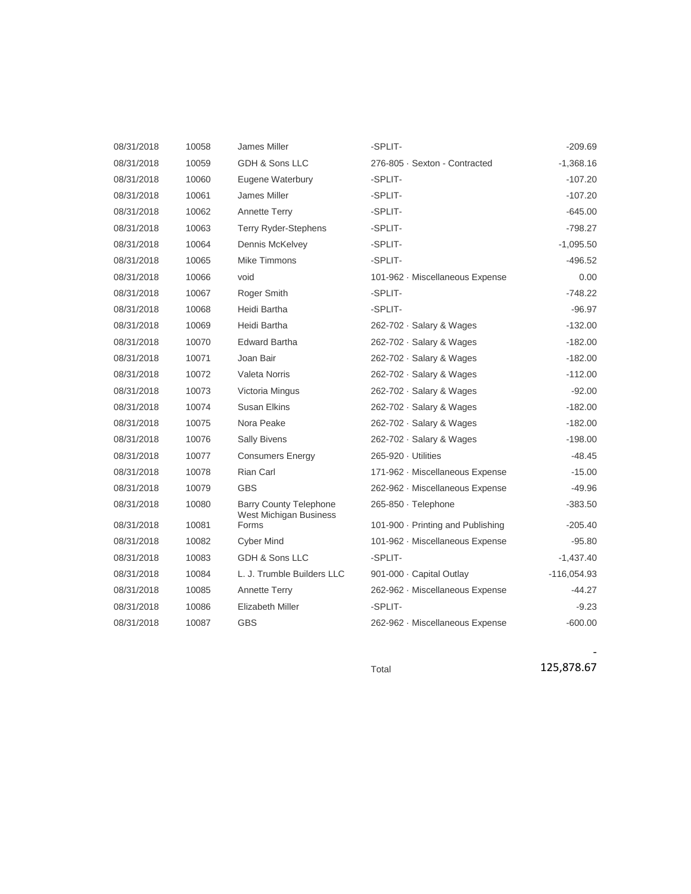| 08/31/2018 | 10058 | <b>James Miller</b>                                     | -SPLIT-                         | $-209.69$     |
|------------|-------|---------------------------------------------------------|---------------------------------|---------------|
| 08/31/2018 | 10059 | GDH & Sons LLC                                          | 276-805 Sexton - Contracted     | $-1,368.16$   |
| 08/31/2018 | 10060 | Eugene Waterbury                                        | -SPLIT-                         | $-107.20$     |
| 08/31/2018 | 10061 | James Miller                                            | -SPLIT-                         | $-107.20$     |
| 08/31/2018 | 10062 | Annette Terry                                           | -SPLIT-                         | $-645.00$     |
| 08/31/2018 | 10063 | <b>Terry Ryder-Stephens</b>                             | -SPLIT-                         | $-798.27$     |
| 08/31/2018 | 10064 | Dennis McKelvey                                         | -SPLIT-                         | $-1,095.50$   |
| 08/31/2018 | 10065 | <b>Mike Timmons</b>                                     | -SPLIT-                         | $-496.52$     |
| 08/31/2018 | 10066 | void                                                    | 101-962 · Miscellaneous Expense | 0.00          |
| 08/31/2018 | 10067 | Roger Smith                                             | -SPLIT-                         | $-748.22$     |
| 08/31/2018 | 10068 | Heidi Bartha                                            | -SPLIT-                         | $-96.97$      |
| 08/31/2018 | 10069 | Heidi Bartha                                            | 262-702 Salary & Wages          | $-132.00$     |
| 08/31/2018 | 10070 | <b>Edward Bartha</b>                                    | 262-702 · Salary & Wages        | $-182.00$     |
| 08/31/2018 | 10071 | Joan Bair                                               | 262-702 Salary & Wages          | $-182.00$     |
| 08/31/2018 | 10072 | Valeta Norris                                           | 262-702 · Salary & Wages        | $-112.00$     |
| 08/31/2018 | 10073 | Victoria Mingus                                         | 262-702 Salary & Wages          | $-92.00$      |
| 08/31/2018 | 10074 | <b>Susan Elkins</b>                                     | 262-702 Salary & Wages          | $-182.00$     |
| 08/31/2018 | 10075 | Nora Peake                                              | 262-702 Salary & Wages          | $-182.00$     |
| 08/31/2018 | 10076 | <b>Sally Bivens</b>                                     | 262-702 · Salary & Wages        | $-198.00$     |
| 08/31/2018 | 10077 | <b>Consumers Energy</b>                                 | 265-920 · Utilities             | $-48.45$      |
| 08/31/2018 | 10078 | <b>Rian Carl</b>                                        | 171-962 · Miscellaneous Expense | $-15.00$      |
| 08/31/2018 | 10079 | <b>GBS</b>                                              | 262-962 Miscellaneous Expense   | $-49.96$      |
| 08/31/2018 | 10080 | <b>Barry County Telephone</b><br>West Michigan Business | 265-850 Telephone               | $-383.50$     |
| 08/31/2018 | 10081 | Forms                                                   | 101-900 Printing and Publishing | $-205.40$     |
| 08/31/2018 | 10082 | <b>Cyber Mind</b>                                       | 101-962 · Miscellaneous Expense | $-95.80$      |
| 08/31/2018 | 10083 | GDH & Sons LLC                                          | -SPLIT-                         | $-1,437.40$   |
| 08/31/2018 | 10084 | L. J. Trumble Builders LLC                              | 901-000 Capital Outlay          | $-116,054.93$ |
| 08/31/2018 | 10085 | <b>Annette Terry</b>                                    | 262-962 Miscellaneous Expense   | $-44.27$      |
| 08/31/2018 | 10086 | <b>Elizabeth Miller</b>                                 | -SPLIT-                         | $-9.23$       |
| 08/31/2018 | 10087 | <b>GBS</b>                                              | 262-962 Miscellaneous Expense   | $-600.00$     |

Total

125,878.67

-